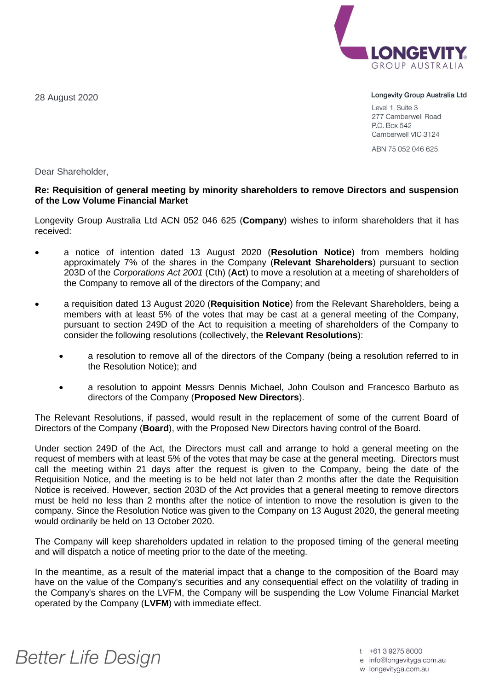28 August 2020



Longevity Group Australia Ltd

Level 1, Suite 3 277 Camberwell Road P.O. Box 542 Camberwell VIC 3124

ABN 75 052 046 625

Dear Shareholder,

## **Re: Requisition of general meeting by minority shareholders to remove Directors and suspension of the Low Volume Financial Market**

Longevity Group Australia Ltd ACN 052 046 625 (**Company**) wishes to inform shareholders that it has received:

- a notice of intention dated 13 August 2020 (**Resolution Notice**) from members holding approximately 7% of the shares in the Company (**Relevant Shareholders**) pursuant to section 203D of the *Corporations Act 2001* (Cth) (**Act**) to move a resolution at a meeting of shareholders of the Company to remove all of the directors of the Company; and
- a requisition dated 13 August 2020 (**Requisition Notice**) from the Relevant Shareholders, being a members with at least 5% of the votes that may be cast at a general meeting of the Company, pursuant to section 249D of the Act to requisition a meeting of shareholders of the Company to consider the following resolutions (collectively, the **Relevant Resolutions**):
	- a resolution to remove all of the directors of the Company (being a resolution referred to in the Resolution Notice); and
	- a resolution to appoint Messrs Dennis Michael, John Coulson and Francesco Barbuto as directors of the Company (**Proposed New Directors**).

The Relevant Resolutions, if passed, would result in the replacement of some of the current Board of Directors of the Company (**Board**), with the Proposed New Directors having control of the Board.

Under section 249D of the Act, the Directors must call and arrange to hold a general meeting on the request of members with at least 5% of the votes that may be case at the general meeting. Directors must call the meeting within 21 days after the request is given to the Company, being the date of the Requisition Notice, and the meeting is to be held not later than 2 months after the date the Requisition Notice is received. However, section 203D of the Act provides that a general meeting to remove directors must be held no less than 2 months after the notice of intention to move the resolution is given to the company. Since the Resolution Notice was given to the Company on 13 August 2020, the general meeting would ordinarily be held on 13 October 2020.

The Company will keep shareholders updated in relation to the proposed timing of the general meeting and will dispatch a notice of meeting prior to the date of the meeting.

In the meantime, as a result of the material impact that a change to the composition of the Board may have on the value of the Company's securities and any consequential effect on the volatility of trading in the Company's shares on the LVFM, the Company will be suspending the Low Volume Financial Market operated by the Company (**LVFM**) with immediate effect.

## **Better Life Design**

t +61 3 9275 8000

e info@longevityga.com.au

w longevityga.com.au